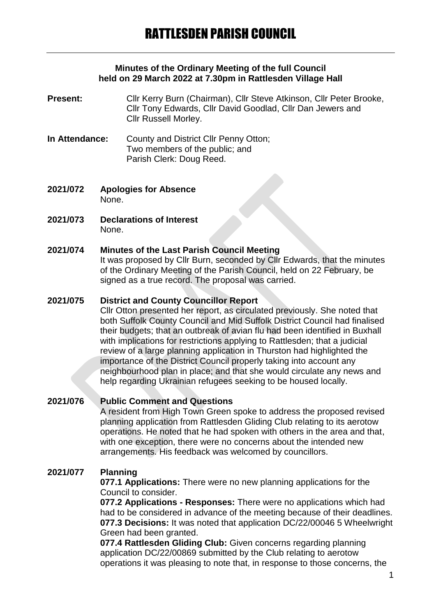### **Minutes of the Ordinary Meeting of the full Council held on 29 March 2022 at 7.30pm in Rattlesden Village Hall**

- **Present:** Cllr Kerry Burn (Chairman), Cllr Steve Atkinson, Cllr Peter Brooke, Cllr Tony Edwards, Cllr David Goodlad, Cllr Dan Jewers and Cllr Russell Morley.
- **In Attendance:** County and District Cllr Penny Otton; Two members of the public; and Parish Clerk: Doug Reed.
- **2021/072 Apologies for Absence** None.
- **2021/073 Declarations of Interest** None.

### **2021/074 Minutes of the Last Parish Council Meeting**

It was proposed by Cllr Burn, seconded by Cllr Edwards, that the minutes of the Ordinary Meeting of the Parish Council, held on 22 February, be signed as a true record. The proposal was carried.

## **2021/075 District and County Councillor Report**

Cllr Otton presented her report, as circulated previously. She noted that both Suffolk County Council and Mid Suffolk District Council had finalised their budgets; that an outbreak of avian flu had been identified in Buxhall with implications for restrictions applying to Rattlesden; that a judicial review of a large planning application in Thurston had highlighted the importance of the District Council properly taking into account any neighbourhood plan in place; and that she would circulate any news and help regarding Ukrainian refugees seeking to be housed locally.

### **2021/076 Public Comment and Questions**

A resident from High Town Green spoke to address the proposed revised planning application from Rattlesden Gliding Club relating to its aerotow operations. He noted that he had spoken with others in the area and that, with one exception, there were no concerns about the intended new arrangements. His feedback was welcomed by councillors.

### **2021/077 Planning**

**077.1 Applications:** There were no new planning applications for the Council to consider.

**077.2 Applications - Responses:** There were no applications which had had to be considered in advance of the meeting because of their deadlines. **077.3 Decisions:** It was noted that application DC/22/00046 5 Wheelwright Green had been granted.

**077.4 Rattlesden Gliding Club:** Given concerns regarding planning application DC/22/00869 submitted by the Club relating to aerotow operations it was pleasing to note that, in response to those concerns, the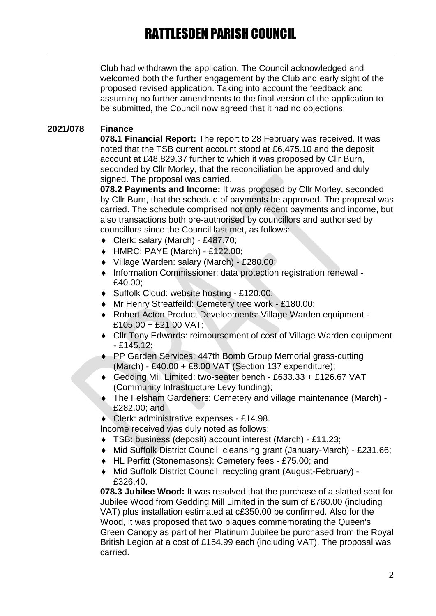Club had withdrawn the application. The Council acknowledged and welcomed both the further engagement by the Club and early sight of the proposed revised application. Taking into account the feedback and assuming no further amendments to the final version of the application to be submitted, the Council now agreed that it had no objections.

# **2021/078 Finance**

**078.1 Financial Report:** The report to 28 February was received. It was noted that the TSB current account stood at £6,475.10 and the deposit account at £48,829.37 further to which it was proposed by Cllr Burn, seconded by Cllr Morley, that the reconciliation be approved and duly signed. The proposal was carried.

**078.2 Payments and Income:** It was proposed by Cllr Morley, seconded by Cllr Burn, that the schedule of payments be approved. The proposal was carried. The schedule comprised not only recent payments and income, but also transactions both pre-authorised by councillors and authorised by councillors since the Council last met, as follows:

- Clerk: salary (March) £487.70;
- HMRC: PAYE (March) £122.00;
- Village Warden: salary (March) £280.00;
- Information Commissioner: data protection registration renewal £40.00;
- ◆ Suffolk Cloud: website hosting £120.00;
- Mr Henry Streatfeild: Cemetery tree work £180.00;
- Robert Acton Product Developments: Village Warden equipment £105.00 + £21.00 VAT;
- Cllr Tony Edwards: reimbursement of cost of Village Warden equipment - £145.12;
- ◆ PP Garden Services: 447th Bomb Group Memorial grass-cutting  $(March) - £40.00 + £8.00$  VAT (Section 137 expenditure);
- Gedding Mill Limited: two-seater bench £633.33 + £126.67 VAT (Community Infrastructure Levy funding);
- The Felsham Gardeners: Cemetery and village maintenance (March) £282.00; and
- Clerk: administrative expenses £14.98.

Income received was duly noted as follows:

- TSB: business (deposit) account interest (March) £11.23;
- Mid Suffolk District Council: cleansing grant (January-March) £231.66;
- HL Perfitt (Stonemasons): Cemetery fees £75.00; and
- Mid Suffolk District Council: recycling grant (August-February) £326.40.

**078.3 Jubilee Wood:** It was resolved that the purchase of a slatted seat for Jubilee Wood from Gedding Mill Limited in the sum of £760.00 (including VAT) plus installation estimated at c£350.00 be confirmed. Also for the Wood, it was proposed that two plaques commemorating the Queen's Green Canopy as part of her Platinum Jubilee be purchased from the Royal British Legion at a cost of £154.99 each (including VAT). The proposal was carried.